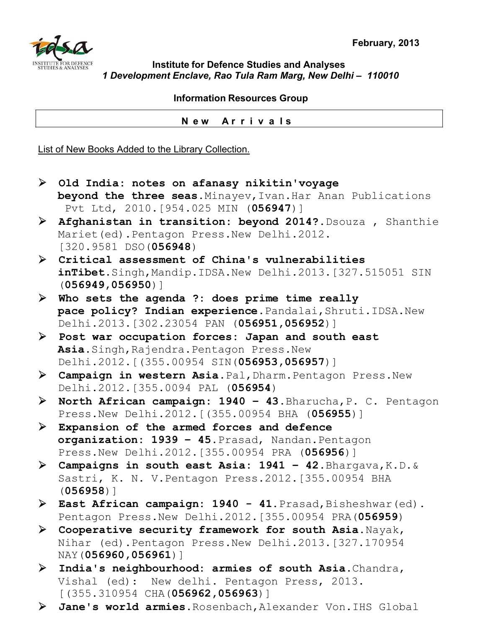

## **Institute for Defence Studies and Analyses**  *1 Development Enclave, Rao Tula Ram Marg, New Delhi – 110010*

 **Information Resources Group** 

 **N e w A r r i v a l s**

List of New Books Added to the Library Collection.

- ¾ **Old India: notes on afanasy nikitin'voyage beyond the three seas.**Minayev,Ivan.Har Anan Publications Pvt Ltd, 2010.[954.025 MIN (**056947**)] ¾ **Afghanistan in transition: beyond 2014?.**Dsouza , Shanthie Mariet(ed).Pentagon Press.New Delhi.2012. [320.9581 DSO(**056948**) ¾ **Critical assessment of China's vulnerabilities inTibet**.Singh,Mandip.IDSA.New Delhi.2013.[327.515051 SIN (**056949,056950**)] ¾ **Who sets the agenda ?: does prime time really pace policy? Indian experience**.Pandalai,Shruti.IDSA.New Delhi.2013.[302.23054 PAN (**056951,056952**)] ¾ **Post war occupation forces: Japan and south east Asia.**Singh,Rajendra.Pentagon Press.New Delhi.2012.[(355.00954 SIN(**056953,056957**)] ¾ **Campaign in western Asia**.Pal,Dharm.Pentagon Press.New Delhi.2012.[355.0094 PAL (**056954**) ¾ **North African campaign: 1940 – 43**.Bharucha,P. C. Pentagon Press.New Delhi.2012.[(355.00954 BHA (**056955**)] ¾ **Expansion of the armed forces and defence organization: 1939 – 45.**Prasad, Nandan.Pentagon Press.New Delhi.2012.[355.00954 PRA (**056956**)] ¾ **Campaigns in south east Asia: 1941 – 42**.Bhargava,K.D.& Sastri, K. N. V.Pentagon Press.2012.[355.00954 BHA (**056958**)] > East African campaign: 1940 - 41. Prasad, Bisheshwar (ed). Pentagon Press.New Delhi.2012.[355.00954 PRA(**056959**) ¾ **Cooperative security framework for south Asia.**Nayak, Nihar (ed).Pentagon Press.New Delhi.2013.[327.170954 NAY(**056960,056961**)] ¾ **India's neighbourhood: armies of south Asia**.Chandra, Vishal (ed): New delhi. Pentagon Press, 2013. [(355.310954 CHA(**056962,056963**)]
- ¾ **Jane's world armies**.Rosenbach,Alexander Von.IHS Global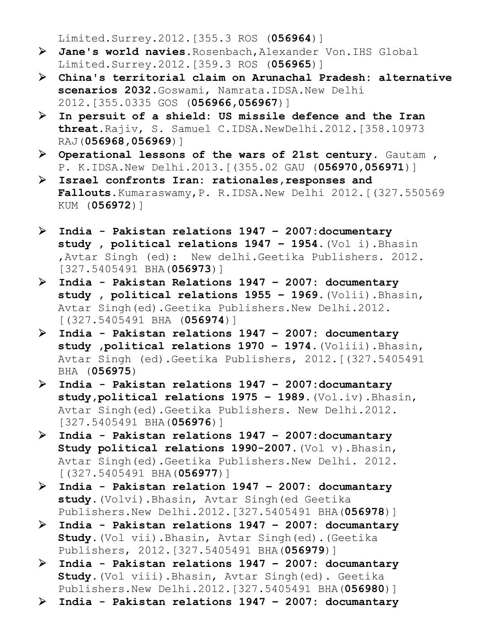Limited.Surrey.2012.[355.3 ROS (**056964**)]

- ¾ **Jane's world navies**.Rosenbach,Alexander Von.IHS Global Limited.Surrey.2012.[359.3 ROS (**056965**)]
- ¾ **China's territorial claim on Arunachal Pradesh: alternative**  scenarios 2032. Goswami, Namrata. IDSA. New Delhi 2012.[355.0335 GOS (**056966,056967**)]
- ¾ **In persuit of a shield: US missile defence and the Iran threat.**Rajiv, S. Samuel C.IDSA.NewDelhi.2012.[358.10973 RAJ(**056968,056969**)]
- ¾ **Operational lessons of the wars of 21st century**. Gautam , P. K.IDSA.New Delhi.2013.[(355.02 GAU (**056970,056971**)]
- ¾ **Israel confronts Iran: rationales,responses and Fallouts.**Kumaraswamy,P. R.IDSA.New Delhi 2012.[(327.550569 KUM (**056972**)]
- ¾ **India Pakistan relations 1947 2007:documentary study , political relations 1947 – 1954**.(Vol i).Bhasin ,Avtar Singh (ed): New delhi.Geetika Publishers. 2012. [327.5405491 BHA(**056973**)]
- ¾ **India Pakistan Relations 1947 2007: documentary study , political relations 1955 – 1969**.(Volii).Bhasin, Avtar Singh(ed).Geetika Publishers.New Delhi.2012. [(327.5405491 BHA (**056974**)]
- ¾ **India Pakistan relations 1947 2007: documentary study ,political relations 1970 – 1974.**(Voliii).Bhasin, Avtar Singh (ed).Geetika Publishers, 2012.[(327.5405491 BHA (**056975**)
- ¾ **India Pakistan relations 1947 2007:documantary study,political relations 1975 – 1989.**(Vol.iv).Bhasin, Avtar Singh(ed).Geetika Publishers. New Delhi.2012. [327.5405491 BHA(**056976**)]
- ¾ **India Pakistan relations 1947 2007:documantary Study political relations 1990-2007.**(Vol v).Bhasin, Avtar Singh(ed).Geetika Publishers.New Delhi. 2012. [(327.5405491 BHA(**056977**)]
- ¾ **India Pakistan relation 1947 2007: documantary study.**(Volvi).Bhasin, Avtar Singh(ed Geetika Publishers.New Delhi.2012.[327.5405491 BHA(**056978**)]
- ¾ **India Pakistan relations 1947 2007: documantary Study.**(Vol vii).Bhasin, Avtar Singh(ed).(Geetika Publishers, 2012.[327.5405491 BHA(**056979**)]
- ¾ **India Pakistan relations 1947 2007: documantary Study.**(Vol viii).Bhasin, Avtar Singh(ed). Geetika Publishers.New Delhi.2012.[327.5405491 BHA(**056980**)]
- ¾ **India Pakistan relations 1947 2007: documantary**